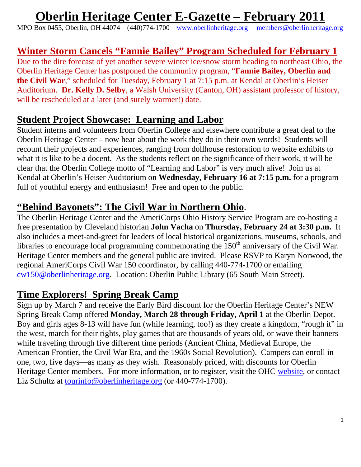# **Oberlin Heritage Center E-Gazette – February 2011**

MPO Box 0455, Oberlin, OH 44074 (440)774-1700 www.oberlinheritage.org members@oberlinheritage.org

## **Winter Storm Cancels "Fannie Bailey" Program Scheduled for February 1**

Due to the dire forecast of yet another severe winter ice/snow storm heading to northeast Ohio, the Oberlin Heritage Center has postponed the community program, "**Fannie Bailey, Oberlin and the Civil War**," scheduled for Tuesday, February 1 at 7:15 p.m. at Kendal at Oberlin's Heiser Auditorium. **Dr. Kelly D. Selby**, a Walsh University (Canton, OH) assistant professor of history, will be rescheduled at a later (and surely warmer!) date.

#### **Student Project Showcase: Learning and Labor**

Student interns and volunteers from Oberlin College and elsewhere contribute a great deal to the Oberlin Heritage Center – now hear about the work they do in their own words! Students will recount their projects and experiences, ranging from dollhouse restoration to website exhibits to what it is like to be a docent. As the students reflect on the significance of their work, it will be clear that the Oberlin College motto of "Learning and Labor" is very much alive! Join us at Kendal at Oberlin's Heiser Auditorium on **Wednesday, February 16 at 7:15 p.m.** for a program full of youthful energy and enthusiasm! Free and open to the public.

**"Behind Bayonets": The Civil War in Northern Ohio**. The Oberlin Heritage Center and the AmeriCorps Ohio History Service Program are co-hosting a free presentation by Cleveland historian **John Vacha** on **Thursday, February 24 at 3:30 p.m.** It also includes a meet-and-greet for leaders of local historical organizations, museums, schools, and libraries to encourage local programming commemorating the  $150<sup>th</sup>$  anniversary of the Civil War. Heritage Center members and the general public are invited. Please RSVP to Karyn Norwood, the regional AmeriCorps Civil War 150 coordinator, by calling 440-774-1700 or emailing cw150@oberlinheritage.org. Location: Oberlin Public Library (65 South Main Street).

#### **Time Explorers! Spring Break Camp**

Sign up by March 7 and receive the Early Bird discount for the Oberlin Heritage Center's NEW Spring Break Camp offered **Monday, March 28 through Friday, April 1** at the Oberlin Depot. Boy and girls ages 8-13 will have fun (while learning, too!) as they create a kingdom, "rough it" in the west, march for their rights, play games that are thousands of years old, or wave their banners while traveling through five different time periods (Ancient China, Medieval Europe, the American Frontier, the Civil War Era, and the 1960s Social Revolution). Campers can enroll in one, two, five days—as many as they wish. Reasonably priced, with discounts for Oberlin Heritage Center members. For more information, or to register, visit the OHC website, or contact Liz Schultz at tourinfo@oberlinheritage.org (or 440-774-1700).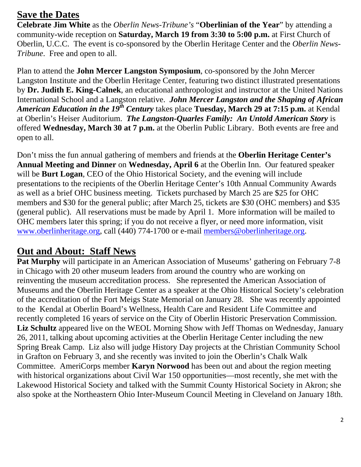## **Save the Dates**

**Celebrate Jim White** as the *Oberlin News-Tribune's* "**Oberlinian of the Year**" by attending a community-wide reception on **Saturday, March 19 from 3:30 to 5:00 p.m.** at First Church of Oberlin, U.C.C. The event is co-sponsored by the Oberlin Heritage Center and the *Oberlin News-Tribune*. Free and open to all.

Plan to attend the **John Mercer Langston Symposium**, co-sponsored by the John Mercer Langston Institute and the Oberlin Heritage Center, featuring two distinct illustrated presentations by **Dr. Judith E. King-Calnek**, an educational anthropologist and instructor at the United Nations International School and a Langston relative. *John Mercer Langston and the Shaping of African American Education in the 19th Century* takes place **Tuesday, March 29 at 7:15 p.m.** at Kendal at Oberlin's Heiser Auditorium. *The Langston-Quarles Family: An Untold American Story* is offered **Wednesday, March 30 at 7 p.m.** at the Oberlin Public Library. Both events are free and open to all.

Don't miss the fun annual gathering of members and friends at the **Oberlin Heritage Center's Annual Meeting and Dinner** on **Wednesday, April 6** at the Oberlin Inn. Our featured speaker will be **Burt Logan**, CEO of the Ohio Historical Society, and the evening will include presentations to the recipients of the Oberlin Heritage Center's 10th Annual Community Awards as well as a brief OHC business meeting. Tickets purchased by March 25 are \$25 for OHC members and \$30 for the general public; after March 25, tickets are \$30 (OHC members) and \$35 (general public). All reservations must be made by April 1. More information will be mailed to OHC members later this spring; if you do not receive a flyer, or need more information, visit www.oberlinheritage.org, call (440) 774-1700 or e-mail members@oberlinheritage.org.

## **Out and About: Staff News**

**Pat Murphy** will participate in an American Association of Museums' gathering on February 7-8 in Chicago with 20 other museum leaders from around the country who are working on reinventing the museum accreditation process. She represented the American Association of Museums and the Oberlin Heritage Center as a speaker at the Ohio Historical Society's celebration of the accreditation of the Fort Meigs State Memorial on January 28. She was recently appointed to the Kendal at Oberlin Board's Wellness, Health Care and Resident Life Committee and recently completed 16 years of service on the City of Oberlin Historic Preservation Commission. **Liz Schultz** appeared live on the WEOL Morning Show with Jeff Thomas on Wednesday, January 26, 2011, talking about upcoming activities at the Oberlin Heritage Center including the new Spring Break Camp. Liz also will judge History Day projects at the Christian Community School in Grafton on February 3, and she recently was invited to join the Oberlin's Chalk Walk Committee. AmeriCorps member **Karyn Norwood** has been out and about the region meeting with historical organizations about Civil War 150 opportunities—most recently, she met with the Lakewood Historical Society and talked with the Summit County Historical Society in Akron; she also spoke at the Northeastern Ohio Inter-Museum Council Meeting in Cleveland on January 18th.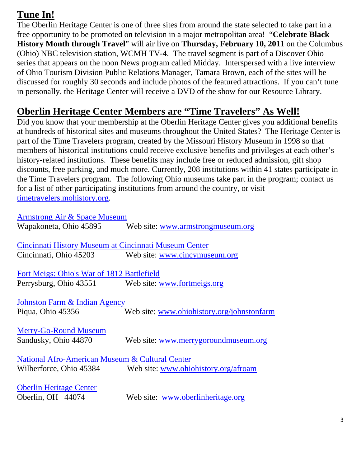# **Tune In!**

The Oberlin Heritage Center is one of three sites from around the state selected to take part in a free opportunity to be promoted on television in a major metropolitan area! "**Celebrate Black History Month through Travel**" will air live on **Thursday, February 10, 2011** on the Columbus (Ohio) NBC television station, WCMH TV-4. The travel segment is part of a Discover Ohio series that appears on the noon News program called Midday. Interspersed with a live interview of Ohio Tourism Division Public Relations Manager, Tamara Brown, each of the sites will be discussed for roughly 30 seconds and include photos of the featured attractions. If you can't tune in personally, the Heritage Center will receive a DVD of the show for our Resource Library.

# **Oberlin Heritage Center Members are "Time Travelers" As Well!**

Did you know that your membership at the Oberlin Heritage Center gives you additional benefits at hundreds of historical sites and museums throughout the United States? The Heritage Center is part of the Time Travelers program, created by the Missouri History Museum in 1998 so that members of historical institutions could receive exclusive benefits and privileges at each other's history-related institutions. These benefits may include free or reduced admission, gift shop discounts, free parking, and much more. Currently, 208 institutions within 41 states participate in the Time Travelers program. The following Ohio museums take part in the program; contact us for a list of other participating institutions from around the country, or visit timetravelers.mohistory.org.

| Armstrong Air & Space Museum                          |                                                              |  |
|-------------------------------------------------------|--------------------------------------------------------------|--|
|                                                       | Wapakoneta, Ohio 45895 Web site: www.armstrongmuseum.org     |  |
|                                                       |                                                              |  |
| Cincinnati History Museum at Cincinnati Museum Center |                                                              |  |
| Cincinnati, Ohio 45203                                | Web site: www.cincymuseum.org                                |  |
|                                                       |                                                              |  |
| Fort Meigs: Ohio's War of 1812 Battlefield            |                                                              |  |
| Perrysburg, Ohio 43551 Web site: www.fortmeigs.org    |                                                              |  |
|                                                       |                                                              |  |
| Johnston Farm & Indian Agency                         |                                                              |  |
| Piqua, Ohio 45356                                     | Web site: www.ohiohistory.org/johnstonfarm                   |  |
|                                                       |                                                              |  |
| <b>Merry-Go-Round Museum</b>                          |                                                              |  |
| Sandusky, Ohio 44870                                  | Web site: www.merrygoroundmuseum.org                         |  |
|                                                       |                                                              |  |
| National Afro-American Museum & Cultural Center       |                                                              |  |
|                                                       | Wilberforce, Ohio 45384 Web site: www.ohiohistory.org/afroam |  |
|                                                       |                                                              |  |
| <b>Oberlin Heritage Center</b>                        |                                                              |  |
| Oberlin, OH 44074                                     | Web site: www.oberlinheritage.org                            |  |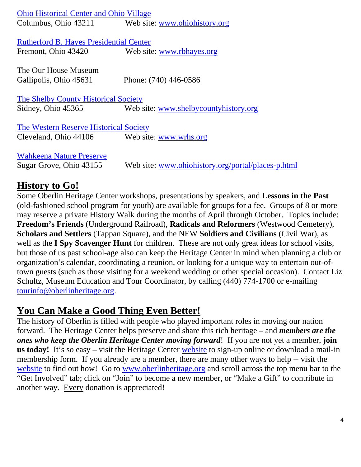| <b>Ohio Historical Center and Ohio Village</b> |                                                    |
|------------------------------------------------|----------------------------------------------------|
| Columbus, Ohio 43211                           | Web site: www.ohiohistory.org                      |
|                                                |                                                    |
| <b>Rutherford B. Hayes Presidential Center</b> |                                                    |
| Fremont, Ohio 43420                            | Web site: www.rbhayes.org                          |
|                                                |                                                    |
| The Our House Museum                           |                                                    |
| Gallipolis, Ohio 45631                         | Phone: (740) 446-0586                              |
|                                                |                                                    |
| The Shelby County Historical Society           |                                                    |
| Sidney, Ohio 45365                             | Web site: www.shelbycountyhistory.org              |
|                                                |                                                    |
| The Western Reserve Historical Society         |                                                    |
| Cleveland, Ohio 44106                          | Web site: www.wrhs.org                             |
|                                                |                                                    |
| <b>Wahkeena Nature Preserve</b>                |                                                    |
| Sugar Grove, Ohio 43155                        | Web site: www.ohiohistory.org/portal/places-p.html |
|                                                |                                                    |

## **History to Go!**

Some Oberlin Heritage Center workshops, presentations by speakers, and **Lessons in the Past** (old-fashioned school program for youth) are available for groups for a fee. Groups of 8 or more may reserve a private History Walk during the months of April through October. Topics include: **Freedom's Friends** (Underground Railroad), **Radicals and Reformers** (Westwood Cemetery), **Scholars and Settlers** (Tappan Square), and the NEW **Soldiers and Civilians** (Civil War), as well as the **I Spy Scavenger Hunt** for children. These are not only great ideas for school visits, but those of us past school-age also can keep the Heritage Center in mind when planning a club or organization's calendar, coordinating a reunion, or looking for a unique way to entertain out-oftown guests (such as those visiting for a weekend wedding or other special occasion). Contact Liz Schultz, Museum Education and Tour Coordinator, by calling (440) 774-1700 or e-mailing tourinfo@oberlinheritage.org.

# **You Can Make a Good Thing Even Better!**

The history of Oberlin is filled with people who played important roles in moving our nation forward. The Heritage Center helps preserve and share this rich heritage – and *members are the ones who keep the Oberlin Heritage Center moving forward*! If you are not yet a member, **join us today!** It's so easy – visit the Heritage Center website to sign-up online or download a mail-in membership form. If you already are a member, there are many other ways to help -- visit the website to find out how! Go to www.oberlinheritage.org and scroll across the top menu bar to the "Get Involved" tab; click on "Join" to become a new member, or "Make a Gift" to contribute in another way. Every donation is appreciated!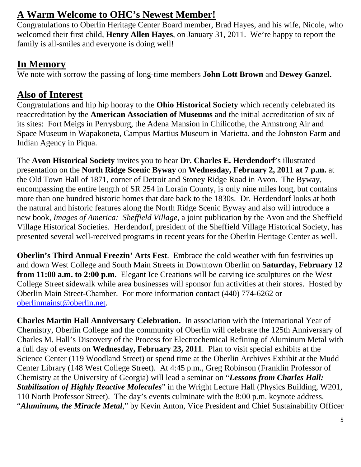# **A Warm Welcome to OHC's Newest Member!**

Congratulations to Oberlin Heritage Center Board member, Brad Hayes, and his wife, Nicole, who welcomed their first child, **Henry Allen Hayes**, on January 31, 2011. We're happy to report the family is all-smiles and everyone is doing well!

# **In Memory**

We note with sorrow the passing of long-time members **John Lott Brown** and **Dewey Ganzel.** 

# **Also of Interest**

Congratulations and hip hip hooray to the **Ohio Historical Society** which recently celebrated its reaccreditation by the **American Association of Museums** and the initial accreditation of six of its sites: Fort Meigs in Perrysburg, the Adena Mansion in Chilicothe, the Armstrong Air and Space Museum in Wapakoneta, Campus Martius Museum in Marietta, and the Johnston Farm and Indian Agency in Piqua.

The **Avon Historical Society** invites you to hear **Dr. Charles E. Herdendorf**'s illustrated presentation on the **North Ridge Scenic Byway** on **Wednesday, February 2, 2011 at 7 p.m.** at the Old Town Hall of 1871, corner of Detroit and Stoney Ridge Road in Avon. The Byway, encompassing the entire length of SR 254 in Lorain County, is only nine miles long, but contains more than one hundred historic homes that date back to the 1830s. Dr. Herdendorf looks at both the natural and historic features along the North Ridge Scenic Byway and also will introduce a new book, *Images of America: Sheffield Village*, a joint publication by the Avon and the Sheffield Village Historical Societies. Herdendorf, president of the Sheffield Village Historical Society, has presented several well-received programs in recent years for the Oberlin Heritage Center as well.

**Oberlin's Third Annual Freezin' Arts Fest**. Embrace the cold weather with fun festivities up and down West College and South Main Streets in Downtown Oberlin on **Saturday, February 12 from 11:00 a.m. to 2:00 p.m.** Elegant Ice Creations will be carving ice sculptures on the West College Street sidewalk while area businesses will sponsor fun activities at their stores. Hosted by Oberlin Main Street-Chamber. For more information contact (440) 774-6262 or oberlinmainst@oberlin.net.

**Charles Martin Hall Anniversary Celebration.** In association with the International Year of Chemistry, Oberlin College and the community of Oberlin will celebrate the 125th Anniversary of Charles M. Hall's Discovery of the Process for Electrochemical Refining of Aluminum Metal with a full day of events on **Wednesday, February 23, 2011**. Plan to visit special exhibits at the Science Center (119 Woodland Street) or spend time at the Oberlin Archives Exhibit at the Mudd Center Library (148 West College Street). At 4:45 p.m., Greg Robinson (Franklin Professor of Chemistry at the University of Georgia) will lead a seminar on "*Lessons from Charles Hall: Stabilization of Highly Reactive Molecules*" in the Wright Lecture Hall (Physics Building, W201, 110 North Professor Street). The day's events culminate with the 8:00 p.m. keynote address, "*Aluminum, the Miracle Metal*," by Kevin Anton, Vice President and Chief Sustainability Officer